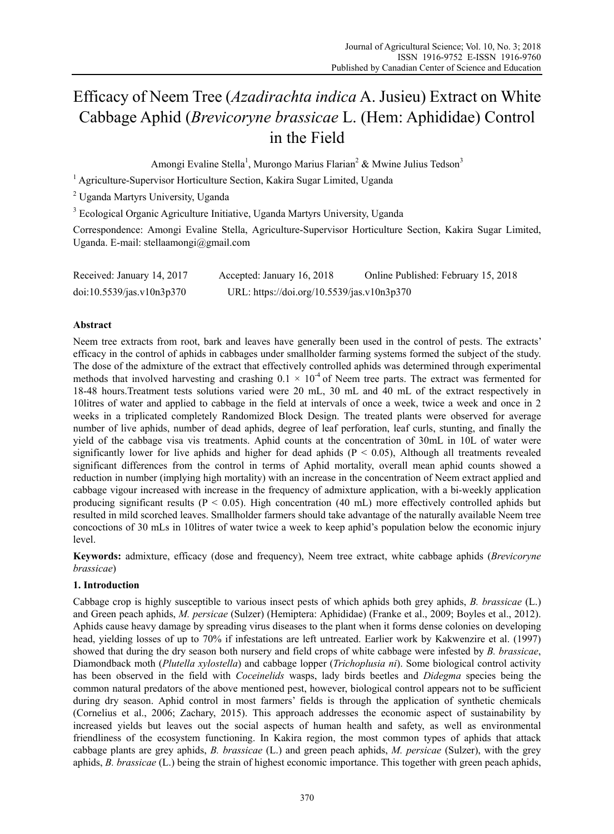# Efficacy of Neem Tree (*Azadirachta indica* A. Jusieu) Extract on White Cabbage Aphid (*Brevicoryne brassicae* L. (Hem: Aphididae) Control in the Field

Amongi Evaline Stella<sup>1</sup>, Murongo Marius Flarian<sup>2</sup> & Mwine Julius Tedson<sup>3</sup>

<sup>1</sup> Agriculture-Supervisor Horticulture Section, Kakira Sugar Limited, Uganda

<sup>2</sup> Uganda Martyrs University, Uganda

<sup>3</sup> Ecological Organic Agriculture Initiative, Uganda Martyrs University, Uganda

Correspondence: Amongi Evaline Stella, Agriculture-Supervisor Horticulture Section, Kakira Sugar Limited, Uganda. E-mail: stellaamongi@gmail.com

| Received: January 14, 2017 | Accepted: January 16, 2018                 | Online Published: February 15, 2018 |
|----------------------------|--------------------------------------------|-------------------------------------|
| doi:10.5539/jas.v10n3p370  | URL: https://doi.org/10.5539/jas.v10n3p370 |                                     |

# **Abstract**

Neem tree extracts from root, bark and leaves have generally been used in the control of pests. The extracts' efficacy in the control of aphids in cabbages under smallholder farming systems formed the subject of the study. The dose of the admixture of the extract that effectively controlled aphids was determined through experimental methods that involved harvesting and crashing  $0.1 \times 10^{-4}$  of Neem tree parts. The extract was fermented for 18-48 hours.Treatment tests solutions varied were 20 mL, 30 mL and 40 mL of the extract respectively in 10litres of water and applied to cabbage in the field at intervals of once a week, twice a week and once in 2 weeks in a triplicated completely Randomized Block Design. The treated plants were observed for average number of live aphids, number of dead aphids, degree of leaf perforation, leaf curls, stunting, and finally the yield of the cabbage visa vis treatments. Aphid counts at the concentration of 30mL in 10L of water were significantly lower for live aphids and higher for dead aphids  $(P < 0.05)$ , Although all treatments revealed significant differences from the control in terms of Aphid mortality, overall mean aphid counts showed a reduction in number (implying high mortality) with an increase in the concentration of Neem extract applied and cabbage vigour increased with increase in the frequency of admixture application, with a bi-weekly application producing significant results ( $P < 0.05$ ). High concentration (40 mL) more effectively controlled aphids but resulted in mild scorched leaves. Smallholder farmers should take advantage of the naturally available Neem tree concoctions of 30 mLs in 10litres of water twice a week to keep aphid's population below the economic injury level.

**Keywords:** admixture, efficacy (dose and frequency), Neem tree extract, white cabbage aphids (*Brevicoryne brassicae*)

#### **1. Introduction**

Cabbage crop is highly susceptible to various insect pests of which aphids both grey aphids, *B. brassicae* (L.) and Green peach aphids, *M. persicae* (Sulzer) (Hemiptera: Aphididae) (Franke et al., 2009; Boyles et al., 2012). Aphids cause heavy damage by spreading virus diseases to the plant when it forms dense colonies on developing head, yielding losses of up to 70% if infestations are left untreated. Earlier work by Kakwenzire et al. (1997) showed that during the dry season both nursery and field crops of white cabbage were infested by *B. brassicae*, Diamondback moth (*Plutella xylostella*) and cabbage lopper (*Trichoplusia ni*). Some biological control activity has been observed in the field with *Coceinelids* wasps, lady birds beetles and *Didegma* species being the common natural predators of the above mentioned pest, however, biological control appears not to be sufficient during dry season. Aphid control in most farmers' fields is through the application of synthetic chemicals (Cornelius et al., 2006; Zachary, 2015). This approach addresses the economic aspect of sustainability by increased yields but leaves out the social aspects of human health and safety, as well as environmental friendliness of the ecosystem functioning. In Kakira region, the most common types of aphids that attack cabbage plants are grey aphids, *B. brassicae* (L.) and green peach aphids, *M. persicae* (Sulzer), with the grey aphids, *B. brassicae* (L.) being the strain of highest economic importance. This together with green peach aphids,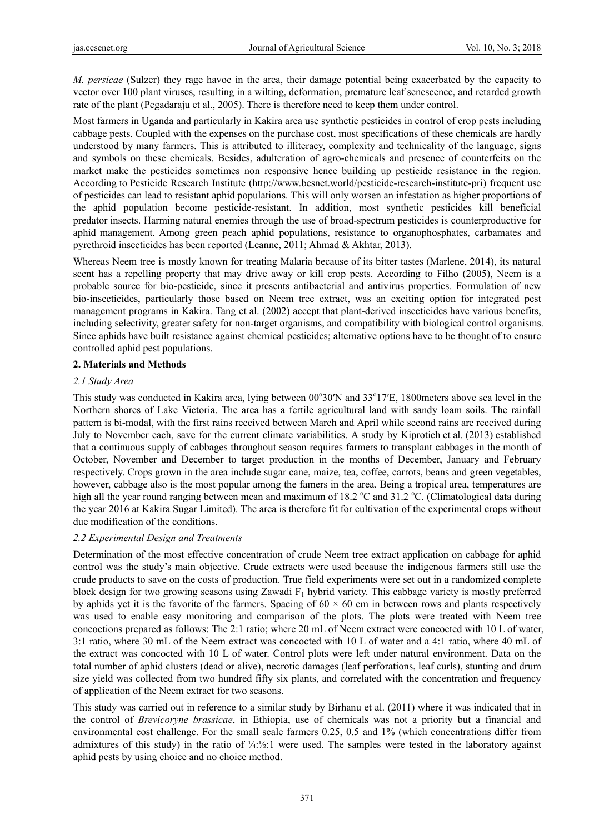*M. persicae* (Sulzer) they rage havoc in the area, their damage potential being exacerbated by the capacity to vector over 100 plant viruses, resulting in a wilting, deformation, premature leaf senescence, and retarded growth rate of the plant (Pegadaraju et al., 2005). There is therefore need to keep them under control.

Most farmers in Uganda and particularly in Kakira area use synthetic pesticides in control of crop pests including cabbage pests. Coupled with the expenses on the purchase cost, most specifications of these chemicals are hardly understood by many farmers. This is attributed to illiteracy, complexity and technicality of the language, signs and symbols on these chemicals. Besides, adulteration of agro-chemicals and presence of counterfeits on the market make the pesticides sometimes non responsive hence building up pesticide resistance in the region. According to Pesticide Research Institute (http://www.besnet.world/pesticide-research-institute-pri) frequent use of pesticides can lead to resistant aphid populations. This will only worsen an infestation as higher proportions of the aphid population become pesticide-resistant. In addition, most synthetic pesticides kill beneficial predator insects. Harming natural enemies through the use of broad-spectrum pesticides is counterproductive for aphid management. Among green peach aphid populations, resistance to organophosphates, carbamates and pyrethroid insecticides has been reported (Leanne, 2011; Ahmad & Akhtar, 2013).

Whereas Neem tree is mostly known for treating Malaria because of its bitter tastes (Marlene, 2014), its natural scent has a repelling property that may drive away or kill crop pests. According to Filho (2005), Neem is a probable source for bio-pesticide, since it presents antibacterial and antivirus properties. Formulation of new bio-insecticides, particularly those based on Neem tree extract, was an exciting option for integrated pest management programs in Kakira. Tang et al. (2002) accept that plant-derived insecticides have various benefits, including selectivity, greater safety for non-target organisms, and compatibility with biological control organisms. Since aphids have built resistance against chemical pesticides; alternative options have to be thought of to ensure controlled aphid pest populations.

# **2. Materials and Methods**

#### *2.1 Study Area*

This study was conducted in Kakira area, lying between 00°30'N and 33°17'E, 1800meters above sea level in the Northern shores of Lake Victoria. The area has a fertile agricultural land with sandy loam soils. The rainfall pattern is bi-modal, with the first rains received between March and April while second rains are received during July to November each, save for the current climate variabilities. A study by Kiprotich et al. (2013) established that a continuous supply of cabbages throughout season requires farmers to transplant cabbages in the month of October, November and December to target production in the months of December, January and February respectively. Crops grown in the area include sugar cane, maize, tea, coffee, carrots, beans and green vegetables, however, cabbage also is the most popular among the famers in the area. Being a tropical area, temperatures are high all the year round ranging between mean and maximum of 18.2 °C and 31.2 °C. (Climatological data during the year 2016 at Kakira Sugar Limited). The area is therefore fit for cultivation of the experimental crops without due modification of the conditions.

# *2.2 Experimental Design and Treatments*

Determination of the most effective concentration of crude Neem tree extract application on cabbage for aphid control was the study's main objective. Crude extracts were used because the indigenous farmers still use the crude products to save on the costs of production. True field experiments were set out in a randomized complete block design for two growing seasons using Zawadi  $F_1$  hybrid variety. This cabbage variety is mostly preferred by aphids yet it is the favorite of the farmers. Spacing of  $60 \times 60$  cm in between rows and plants respectively was used to enable easy monitoring and comparison of the plots. The plots were treated with Neem tree concoctions prepared as follows: The 2:1 ratio; where 20 mL of Neem extract were concocted with 10 L of water, 3:1 ratio, where 30 mL of the Neem extract was concocted with 10 L of water and a 4:1 ratio, where 40 mL of the extract was concocted with 10 L of water. Control plots were left under natural environment. Data on the total number of aphid clusters (dead or alive), necrotic damages (leaf perforations, leaf curls), stunting and drum size yield was collected from two hundred fifty six plants, and correlated with the concentration and frequency of application of the Neem extract for two seasons.

This study was carried out in reference to a similar study by Birhanu et al. (2011) where it was indicated that in the control of *Brevicoryne brassicae*, in Ethiopia, use of chemicals was not a priority but a financial and environmental cost challenge. For the small scale farmers 0.25, 0.5 and 1% (which concentrations differ from admixtures of this study) in the ratio of  $\frac{1}{4}$ :  $\frac{1}{2}$ : 1 were used. The samples were tested in the laboratory against aphid pests by using choice and no choice method.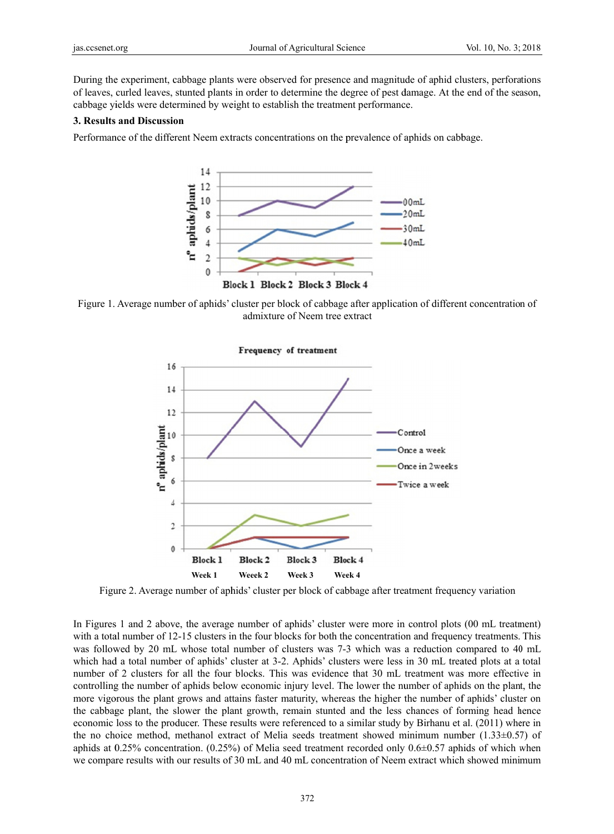During the experiment, cabbage plants were observed for presence and magnitude of aphid clusters, perforations of leaves, curled leaves, stunted plants in order to determine the degree of pest damage. At the end of the season, cabbage yields were determined by weight to establish the treatment performance.

#### **3. Results and Discussi on**

Performance of the different Neem extracts concentrations on the prevalence of aphids on cabbage.



Figure 1. Average number of aphids' cluster per block of cabbage after application of different concentration of admixture of Neem tree extract



Figure 2. Average number of aphids' cluster per block of cabbage after treatment frequency variation

In Figures 1 and 2 above, the average number of aphids' cluster were more in control plots (00 mL treatment) with a total number of 12-15 clusters in the four blocks for both the concentration and frequency treatments. This was followed by 20 mL whose total number of clusters was 7-3 which was a reduction compared to 40 mL which had a total number of aphids' cluster at 3-2. Aphids' clusters were less in 30 mL treated plots at a total number of 2 clusters for all the four blocks. This was evidence that 30 mL treatment was more effective in controlling the number of aphids below economic injury level. The lower the number of aphids on the plant, the more vigorous the plant grows and attains faster maturity, whereas the higher the number of aphids' cluster on the cabbage plant, the slower the plant growth, remain stunted and the less chances of forming head hence economic loss to the producer. These results were referenced to a similar study by Birhanu et al. (2011) where in the no choice method, methanol extract of Melia seeds treatment showed minimum number  $(1.33\pm0.57)$  of aphids at 0.25% concentration.  $(0.25%)$  of Melia seed treatment recorded only  $0.6\pm0.57$  aphids of which when we compare results with our results of 30 mL and 40 mL concentration of Neem extract which showed minimum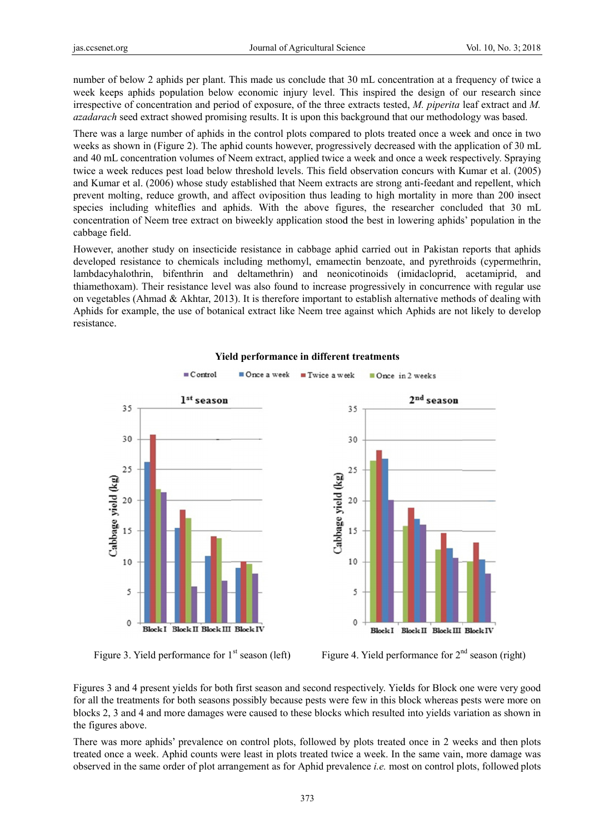number of below 2 aphids per plant. This made us conclude that 30 mL concentration at a frequency of twice a week keeps aphids population below economic injury level. This inspired the design of our research since irrespective of concentration and period of exposure, of the three extracts tested, *M. piperita* leaf extract and *M. azadarach* seed extract showed promising results. It is upon this background that our methodology was based.

There was a large number of aphids in the control plots compared to plots treated once a week and once in two weeks as shown in (Figure 2). The aphid counts however, progressively decreased with the application of 30 mL and 40 mL concentration volumes of Neem extract, applied twice a week and once a week respectively. Spraying twice a week reduces pest load below threshold levels. This field observation concurs with Kumar et al. (2005) and Kumar et al. (2006) whose study established that Neem extracts are strong anti-feedant and repellent, which prevent molting, reduce growth, and affect oviposition thus leading to high mortality in more than 200 insect species including whiteflies and aphids. With the above figures, the researcher concluded that 30 mL concentration of Neem tree extract on biweekly application stood the best in lowering aphids' population in the cabbage field.

However, another study on insecticide resistance in cabbage aphid carried out in Pakistan reports that aphids developed resistance to chemicals including methomyl, emamectin benzoate, and pyrethroids (cypermethrin, lambdacyhalothrin, bifenthrin and deltamethrin) and neonicotinoids (imidacloprid, acetamiprid, and thiamethoxam). Their resistance level was also found to increase progressively in concurrence with regular use on vegetables (Ahmad & Akhtar, 2013). It is therefore important to establish alternative methods of dealing with Aphids for example, the use of botanical extract like Neem tree against which Aphids are not likely to develop resistance. .



#### **Yield performance in different treatments**

Figure 3. Yield performance for 1<sup>st</sup> season (left)

) Figure 4. Yield performance for  $2<sup>nd</sup>$  season (right)

Figures 3 and 4 present yields for both first season and second respectively. Yields for Block one were very good for all the treatments for both seasons possibly because pests were few in this block whereas pests were more on blocks 2, 3 and 4 and more damages were caused to these blocks which resulted into yields variation as shown in the figures above.

There was more aphids' prevalence on control plots, followed by plots treated once in 2 weeks and then plots treated once a week. Aphid counts were least in plots treated twice a week. In the same vain, more damage was observed in the same order of plot arrangement as for Aphid prevalence *i.e.* most on control plots, followed plots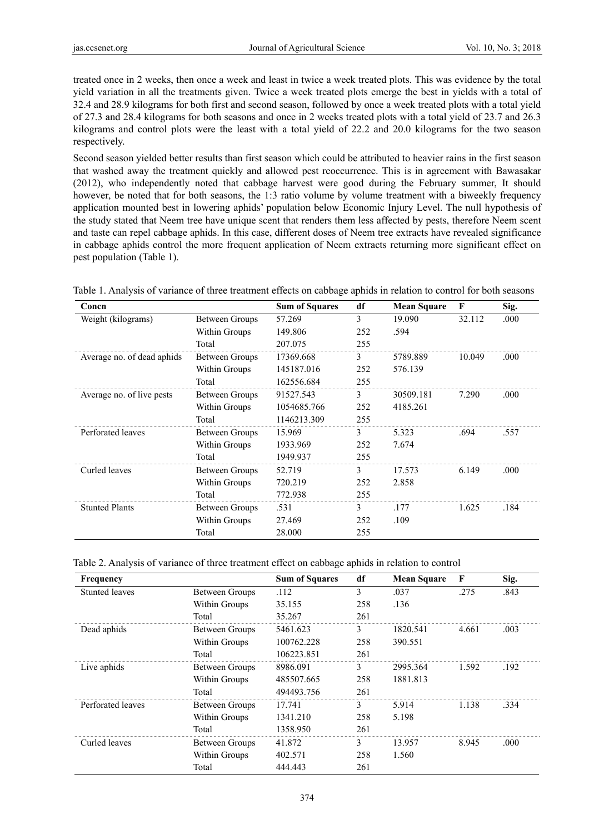treated once in 2 weeks, then once a week and least in twice a week treated plots. This was evidence by the total yield variation in all the treatments given. Twice a week treated plots emerge the best in yields with a total of 32.4 and 28.9 kilograms for both first and second season, followed by once a week treated plots with a total yield of 27.3 and 28.4 kilograms for both seasons and once in 2 weeks treated plots with a total yield of 23.7 and 26.3 kilograms and control plots were the least with a total yield of 22.2 and 20.0 kilograms for the two season respectively.

Second season yielded better results than first season which could be attributed to heavier rains in the first season that washed away the treatment quickly and allowed pest reoccurrence. This is in agreement with Bawasakar (2012), who independently noted that cabbage harvest were good during the February summer, It should however, be noted that for both seasons, the 1:3 ratio volume by volume treatment with a biweekly frequency application mounted best in lowering aphids' population below Economic Injury Level. The null hypothesis of the study stated that Neem tree have unique scent that renders them less affected by pests, therefore Neem scent and taste can repel cabbage aphids. In this case, different doses of Neem tree extracts have revealed significance in cabbage aphids control the more frequent application of Neem extracts returning more significant effect on pest population (Table 1).

| Concn                      |                | <b>Sum of Squares</b> | df  | <b>Mean Square</b> | F      | Sig. |
|----------------------------|----------------|-----------------------|-----|--------------------|--------|------|
| Weight (kilograms)         | Between Groups | 57.269                | 3   | 19.090             | 32.112 | .000 |
|                            | Within Groups  | 149.806               | 252 | .594               |        |      |
|                            | Total          | 207.075               | 255 |                    |        |      |
| Average no. of dead aphids | Between Groups | 17369.668             | 3   | 5789.889           | 10.049 | .000 |
|                            | Within Groups  | 145187.016            | 252 | 576.139            |        |      |
|                            | Total          | 162556.684            | 255 |                    |        |      |
| Average no. of live pests  | Between Groups | 91527.543             | 3   | 30509.181          | 7.290  | .000 |
|                            | Within Groups  | 1054685.766           | 252 | 4185.261           |        |      |
|                            | Total          | 1146213.309           | 255 |                    |        |      |
| Perforated leaves          | Between Groups | 15.969                | 3   | 5.323              | .694   | .557 |
|                            | Within Groups  | 1933.969              | 252 | 7.674              |        |      |
|                            | Total          | 1949.937              | 255 |                    |        |      |
| Curled leaves              | Between Groups | 52.719                | 3   | 17.573             | 6.149  | .000 |
|                            | Within Groups  | 720.219               | 252 | 2.858              |        |      |
|                            | Total          | 772.938               | 255 |                    |        |      |
| <b>Stunted Plants</b>      | Between Groups | .531                  | 3   | .177               | 1.625  | .184 |
|                            | Within Groups  | 27.469                | 252 | .109               |        |      |
|                            | Total          | 28.000                | 255 |                    |        |      |

Table 1. Analysis of variance of three treatment effects on cabbage aphids in relation to control for both seasons

|  | Table 2. Analysis of variance of three treatment effect on cabbage aphids in relation to control |  |  |  |
|--|--------------------------------------------------------------------------------------------------|--|--|--|
|  |                                                                                                  |  |  |  |

| Frequency             |                       | <b>Sum of Squares</b> | df  | <b>Mean Square</b> | F     | Sig. |
|-----------------------|-----------------------|-----------------------|-----|--------------------|-------|------|
| <b>Stunted leaves</b> | <b>Between Groups</b> | .112                  | 3   | .037               | .275  | .843 |
|                       | Within Groups         | 35.155                | 258 | .136               |       |      |
|                       | Total                 | 35.267                | 261 |                    |       |      |
| Dead aphids           | Between Groups        | 5461.623              | 3   | 1820.541           | 4.661 | .003 |
|                       | Within Groups         | 100762.228            | 258 | 390.551            |       |      |
|                       | Total                 | 106223.851            | 261 |                    |       |      |
| Live aphids           | Between Groups        | 8986.091              | 3   | 2995.364           | 1.592 | .192 |
|                       | Within Groups         | 485507.665            | 258 | 1881.813           |       |      |
|                       | Total                 | 494493.756            | 261 |                    |       |      |
| Perforated leaves     | Between Groups        | 17.741                | 3   | 5.914              | 1.138 | .334 |
|                       | Within Groups         | 1341.210              | 258 | 5.198              |       |      |
|                       | Total                 | 1358.950              | 261 |                    |       |      |
| Curled leaves         | Between Groups        | 41.872                | 3   | 13.957             | 8.945 | .000 |
|                       | Within Groups         | 402.571               | 258 | 1.560              |       |      |
|                       | Total                 | 444.443               | 261 |                    |       |      |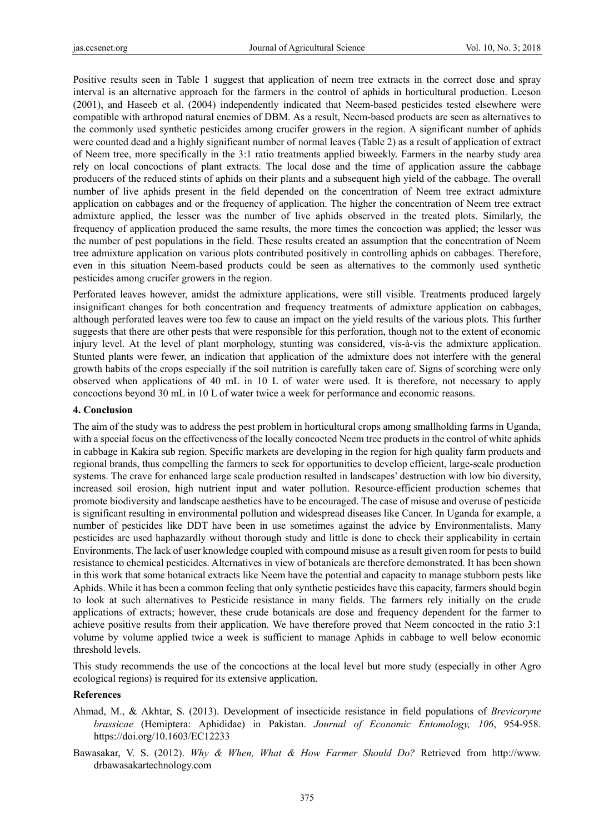Positive results seen in Table 1 suggest that application of neem tree extracts in the correct dose and spray interval is an alternative approach for the farmers in the control of aphids in horticultural production. Leeson (2001), and Haseeb et al. (2004) independently indicated that Neem-based pesticides tested elsewhere were compatible with arthropod natural enemies of DBM. As a result, Neem-based products are seen as alternatives to the commonly used synthetic pesticides among crucifer growers in the region. A significant number of aphids were counted dead and a highly significant number of normal leaves (Table 2) as a result of application of extract of Neem tree, more specifically in the 3:1 ratio treatments applied biweekly. Farmers in the nearby study area rely on local concoctions of plant extracts. The local dose and the time of application assure the cabbage producers of the reduced stints of aphids on their plants and a subsequent high yield of the cabbage. The overall number of live aphids present in the field depended on the concentration of Neem tree extract admixture application on cabbages and or the frequency of application. The higher the concentration of Neem tree extract admixture applied, the lesser was the number of live aphids observed in the treated plots. Similarly, the frequency of application produced the same results, the more times the concoction was applied; the lesser was the number of pest populations in the field. These results created an assumption that the concentration of Neem tree admixture application on various plots contributed positively in controlling aphids on cabbages. Therefore, even in this situation Neem-based products could be seen as alternatives to the commonly used synthetic pesticides among crucifer growers in the region.

Perforated leaves however, amidst the admixture applications, were still visible. Treatments produced largely insignificant changes for both concentration and frequency treatments of admixture application on cabbages, although perforated leaves were too few to cause an impact on the yield results of the various plots. This further suggests that there are other pests that were responsible for this perforation, though not to the extent of economic injury level. At the level of plant morphology, stunting was considered, vis-à-vis the admixture application. Stunted plants were fewer, an indication that application of the admixture does not interfere with the general growth habits of the crops especially if the soil nutrition is carefully taken care of. Signs of scorching were only observed when applications of 40 mL in 10 L of water were used. It is therefore, not necessary to apply concoctions beyond 30 mL in 10 L of water twice a week for performance and economic reasons.

#### **4. Conclusion**

The aim of the study was to address the pest problem in horticultural crops among smallholding farms in Uganda, with a special focus on the effectiveness of the locally concocted Neem tree products in the control of white aphids in cabbage in Kakira sub region. Specific markets are developing in the region for high quality farm products and regional brands, thus compelling the farmers to seek for opportunities to develop efficient, large-scale production systems. The crave for enhanced large scale production resulted in landscapes' destruction with low bio diversity, increased soil erosion, high nutrient input and water pollution. Resource-efficient production schemes that promote biodiversity and landscape aesthetics have to be encouraged. The case of misuse and overuse of pesticide is significant resulting in environmental pollution and widespread diseases like Cancer. In Uganda for example, a number of pesticides like DDT have been in use sometimes against the advice by Environmentalists. Many pesticides are used haphazardly without thorough study and little is done to check their applicability in certain Environments. The lack of user knowledge coupled with compound misuse as a result given room for pests to build resistance to chemical pesticides. Alternatives in view of botanicals are therefore demonstrated. It has been shown in this work that some botanical extracts like Neem have the potential and capacity to manage stubborn pests like Aphids. While it has been a common feeling that only synthetic pesticides have this capacity, farmers should begin to look at such alternatives to Pesticide resistance in many fields. The farmers rely initially on the crude applications of extracts; however, these crude botanicals are dose and frequency dependent for the farmer to achieve positive results from their application. We have therefore proved that Neem concocted in the ratio 3:1 volume by volume applied twice a week is sufficient to manage Aphids in cabbage to well below economic threshold levels.

This study recommends the use of the concoctions at the local level but more study (especially in other Agro ecological regions) is required for its extensive application.

### **References**

- Ahmad, M., & Akhtar, S. (2013). Development of insecticide resistance in field populations of *Brevicoryne brassicae* (Hemiptera: Aphididae) in Pakistan. *Journal of Economic Entomology, 106*, 954-958. https://doi.org/10.1603/EC12233
- Bawasakar, V. S. (2012). *Why & When, What & How Farmer Should Do?* Retrieved from http://www. drbawasakartechnology.com